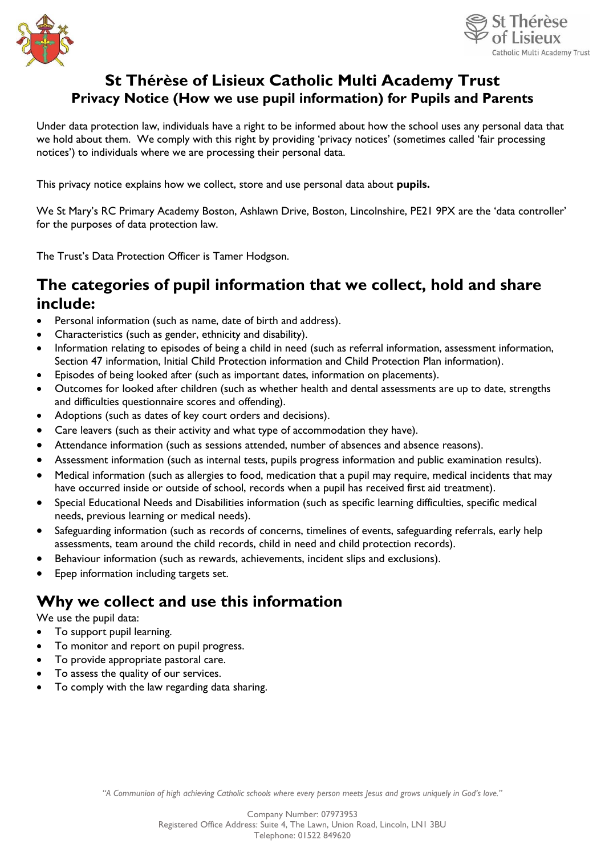



#### **St Thérèse of Lisieux Catholic Multi Academy Trust Privacy Notice (How we use pupil information) for Pupils and Parents**

Under data protection law, individuals have a right to be informed about how the school uses any personal data that we hold about them. We comply with this right by providing 'privacy notices' (sometimes called 'fair processing notices') to individuals where we are processing their personal data.

This privacy notice explains how we collect, store and use personal data about **pupils.**

We St Mary's RC Primary Academy Boston, Ashlawn Drive, Boston, Lincolnshire, PE21 9PX are the 'data controller' for the purposes of data protection law.

The Trust's Data Protection Officer is Tamer Hodgson.

#### **The categories of pupil information that we collect, hold and share include:**

- Personal information (such as name, date of birth and address).
- Characteristics (such as gender, ethnicity and disability).
- Information relating to episodes of being a child in need (such as referral information, assessment information, Section 47 information, Initial Child Protection information and Child Protection Plan information).
- Episodes of being looked after (such as important dates, information on placements).
- Outcomes for looked after children (such as whether health and dental assessments are up to date, strengths and difficulties questionnaire scores and offending).
- Adoptions (such as dates of key court orders and decisions).
- Care leavers (such as their activity and what type of accommodation they have).
- Attendance information (such as sessions attended, number of absences and absence reasons).
- Assessment information (such as internal tests, pupils progress information and public examination results).
- Medical information (such as allergies to food, medication that a pupil may require, medical incidents that may have occurred inside or outside of school, records when a pupil has received first aid treatment).
- Special Educational Needs and Disabilities information (such as specific learning difficulties, specific medical needs, previous learning or medical needs).
- Safeguarding information (such as records of concerns, timelines of events, safeguarding referrals, early help assessments, team around the child records, child in need and child protection records).
- Behaviour information (such as rewards, achievements, incident slips and exclusions).
- Epep information including targets set.

#### **Why we collect and use this information**

We use the pupil data:

- To support pupil learning.
- To monitor and report on pupil progress.
- To provide appropriate pastoral care.
- To assess the quality of our services.
- To comply with the law regarding data sharing.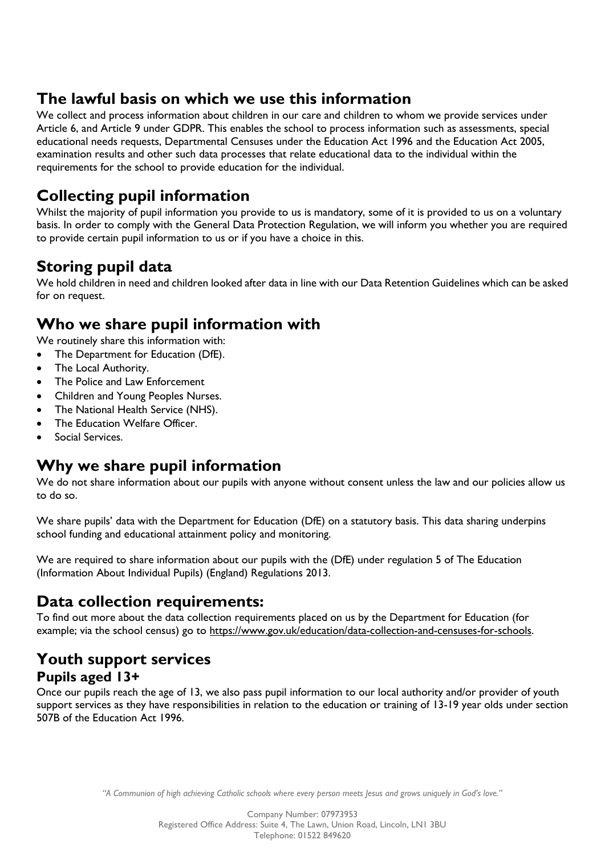## **The lawful basis on which we use this information**

We collect and process information about children in our care and children to whom we provide services under Article 6, and Article 9 under GDPR. This enables the school to process information such as assessments, special educational needs requests, Departmental Censuses under the Education Act 1996 and the Education Act 2005, examination results and other such data processes that relate educational data to the individual within the requirements for the school to provide education for the individual.

## **Collecting pupil information**

Whilst the majority of pupil information you provide to us is mandatory, some of it is provided to us on a voluntary basis. In order to comply with the General Data Protection Regulation, we will inform you whether you are required to provide certain pupil information to us or if you have a choice in this.

## **Storing pupil data**

We hold children in need and children looked after data in line with our Data Retention Guidelines which can be asked for on request.

## **Who we share pupil information with**

We routinely share this information with:

- The Department for Education (DfE).
- The Local Authority.
- The Police and Law Enforcement
- Children and Young Peoples Nurses.
- The National Health Service (NHS).
- The Education Welfare Officer.
- Social Services.

## **Why we share pupil information**

We do not share information about our pupils with anyone without consent unless the law and our policies allow us to do so.

We share pupils' data with the Department for Education (DfE) on a statutory basis. This data sharing underpins school funding and educational attainment policy and monitoring.

We are required to share information about our pupils with the (DfE) under regulation 5 of The Education (Information About Individual Pupils) (England) Regulations 2013.

## **Data collection requirements:**

To find out more about the data collection requirements placed on us by the Department for Education (for example; via the school census) go to [https://www.gov.uk/education/data-collection-and-censuses-for-schools.](https://www.gov.uk/education/data-collection-and-censuses-for-schools)

#### **Youth support services Pupils aged 13+**

Once our pupils reach the age of 13, we also pass pupil information to our local authority and/or provider of youth support services as they have responsibilities in relation to the education or training of 13-19 year olds under section 507B of the Education Act 1996.

*"A Communion of high achieving Catholic schools where every person meets Jesus and grows uniquely in God's love."*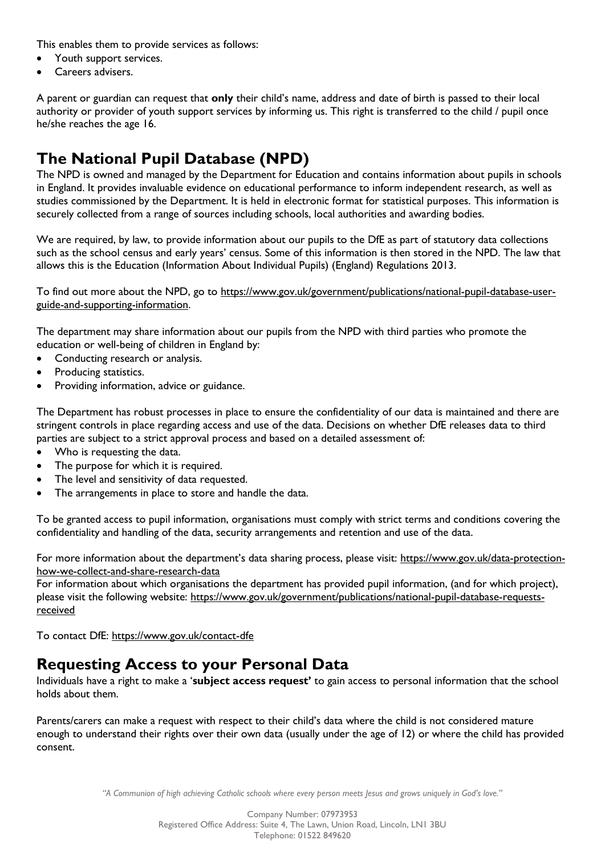This enables them to provide services as follows:

- Youth support services.
- Careers advisers.

A parent or guardian can request that **only** their child's name, address and date of birth is passed to their local authority or provider of youth support services by informing us. This right is transferred to the child / pupil once he/she reaches the age 16.

## **The National Pupil Database (NPD)**

The NPD is owned and managed by the Department for Education and contains information about pupils in schools in England. It provides invaluable evidence on educational performance to inform independent research, as well as studies commissioned by the Department. It is held in electronic format for statistical purposes. This information is securely collected from a range of sources including schools, local authorities and awarding bodies.

We are required, by law, to provide information about our pupils to the DfE as part of statutory data collections such as the school census and early years' census. Some of this information is then stored in the NPD. The law that allows this is the Education (Information About Individual Pupils) (England) Regulations 2013.

To find out more about the NPD, go to [https://www.gov.uk/government/publications/national-pupil-database-user](https://www.gov.uk/government/publications/national-pupil-database-user-guide-and-supporting-information)[guide-and-supporting-information.](https://www.gov.uk/government/publications/national-pupil-database-user-guide-and-supporting-information)

The department may share information about our pupils from the NPD with third parties who promote the education or well-being of children in England by:

- Conducting research or analysis.
- Producing statistics.
- Providing information, advice or guidance.

The Department has robust processes in place to ensure the confidentiality of our data is maintained and there are stringent controls in place regarding access and use of the data. Decisions on whether DfE releases data to third parties are subject to a strict approval process and based on a detailed assessment of:

- Who is requesting the data.
- The purpose for which it is required.
- The level and sensitivity of data requested.
- The arrangements in place to store and handle the data.

To be granted access to pupil information, organisations must comply with strict terms and conditions covering the confidentiality and handling of the data, security arrangements and retention and use of the data.

For more information about the department's data sharing process, please visit: [https://www.gov.uk/data-protection](https://www.gov.uk/data-protection-how-we-collect-and-share-research-data)[how-we-collect-and-share-research-data](https://www.gov.uk/data-protection-how-we-collect-and-share-research-data)

For information about which organisations the department has provided pupil information, (and for which project), please visit the following website: [https://www.gov.uk/government/publications/national-pupil-database-requests](https://www.gov.uk/government/publications/national-pupil-database-requests-received)[received](https://www.gov.uk/government/publications/national-pupil-database-requests-received)

To contact DfE:<https://www.gov.uk/contact-dfe>

#### **Requesting Access to your Personal Data**

Individuals have a right to make a '**subject access request'** to gain access to personal information that the school holds about them.

Parents/carers can make a request with respect to their child's data where the child is not considered mature enough to understand their rights over their own data (usually under the age of 12) or where the child has provided consent.

*"A Communion of high achieving Catholic schools where every person meets Jesus and grows uniquely in God's love."*